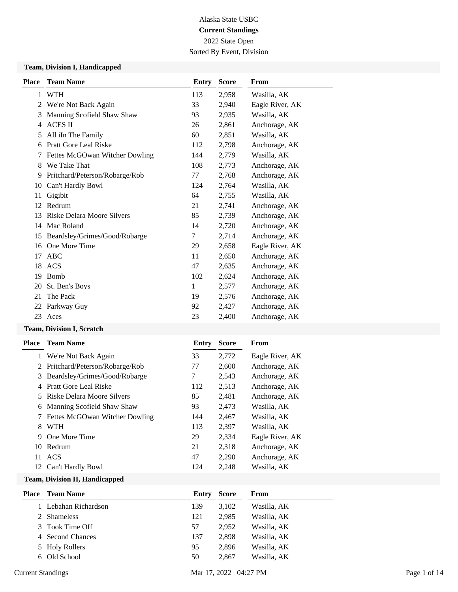2022 State Open

Sorted By Event, Division

#### **Team, Division I, Handicapped**

| <b>Place</b> | <b>Team Name</b>               | Entry | <b>Score</b> | From            |
|--------------|--------------------------------|-------|--------------|-----------------|
| 1            | <b>WTH</b>                     | 113   | 2,958        | Wasilla, AK     |
| 2            | We're Not Back Again           | 33    | 2,940        | Eagle River, AK |
| 3            | Manning Scofield Shaw Shaw     | 93    | 2,935        | Wasilla, AK     |
| 4            | <b>ACES II</b>                 | 26    | 2,861        | Anchorage, AK   |
| 5            | All iIn The Family             | 60    | 2,851        | Wasilla, AK     |
| 6            | Pratt Gore Leal Riske          | 112   | 2,798        | Anchorage, AK   |
| 7            | Fettes McGOwan Witcher Dowling | 144   | 2,779        | Wasilla, AK     |
| 8            | We Take That                   | 108   | 2,773        | Anchorage, AK   |
| 9            | Pritchard/Peterson/Robarge/Rob | 77    | 2,768        | Anchorage, AK   |
| 10           | Can't Hardly Bowl              | 124   | 2,764        | Wasilla, AK     |
| 11           | Gigibit                        | 64    | 2,755        | Wasilla, AK     |
| 12           | Redrum                         | 21    | 2,741        | Anchorage, AK   |
| 13           | Riske Delara Moore Silvers     | 85    | 2,739        | Anchorage, AK   |
| 14           | Mac Roland                     | 14    | 2,720        | Anchorage, AK   |
| 15           | Beardsley/Grimes/Good/Robarge  | 7     | 2,714        | Anchorage, AK   |
| 16           | One More Time                  | 29    | 2,658        | Eagle River, AK |
| 17           | <b>ABC</b>                     | 11    | 2,650        | Anchorage, AK   |
| 18           | ACS                            | 47    | 2,635        | Anchorage, AK   |
| 19           | Bomb                           | 102   | 2,624        | Anchorage, AK   |
| 20           | St. Ben's Boys                 | 1     | 2,577        | Anchorage, AK   |
| 21           | The Pack                       | 19    | 2,576        | Anchorage, AK   |
|              | 22 Parkway Guy                 | 92    | 2,427        | Anchorage, AK   |
|              | 23 Aces                        | 23    | 2,400        | Anchorage, AK   |

#### **Team, Division I, Scratch**

|    | <b>Place</b> Team Name         | Entry | <b>Score</b> | From            |
|----|--------------------------------|-------|--------------|-----------------|
| 1  | We're Not Back Again           | 33    | 2,772        | Eagle River, AK |
| 2  | Pritchard/Peterson/Robarge/Rob | 77    | 2,600        | Anchorage, AK   |
| 3  | Beardsley/Grimes/Good/Robarge  | 7     | 2,543        | Anchorage, AK   |
| 4  | Pratt Gore Leal Riske          | 112   | 2,513        | Anchorage, AK   |
| 5. | Riske Delara Moore Silvers     | 85    | 2,481        | Anchorage, AK   |
| 6  | Manning Scofield Shaw Shaw     | 93    | 2,473        | Wasilla, AK     |
| 7  | Fettes McGOwan Witcher Dowling | 144   | 2,467        | Wasilla, AK     |
| 8  | <b>WTH</b>                     | 113   | 2,397        | Wasilla, AK     |
| 9  | One More Time                  | 29    | 2,334        | Eagle River, AK |
|    | 10 Redrum                      | 21    | 2,318        | Anchorage, AK   |
| 11 | <b>ACS</b>                     | 47    | 2,290        | Anchorage, AK   |
|    | 12 Can't Hardly Bowl           | 124   | 2,248        | Wasilla, AK     |
|    | $- - - -$                      |       |              |                 |

#### **Team, Division II, Handicapped**

| <b>Place</b> | <b>Team Name</b>      | Entry | <b>Score</b> | From        |
|--------------|-----------------------|-------|--------------|-------------|
|              | Lebahan Richardson    | 139   | 3.102        | Wasilla, AK |
|              | <b>Shameless</b>      | 121   | 2.985        | Wasilla, AK |
|              | 3 Took Time Off       | 57    | 2.952        | Wasilla, AK |
| 4            | <b>Second Chances</b> | 137   | 2.898        | Wasilla, AK |
|              | 5 Holy Rollers        | 95    | 2.896        | Wasilla, AK |
| 6            | Old School            | 50    | 2.867        | Wasilla, AK |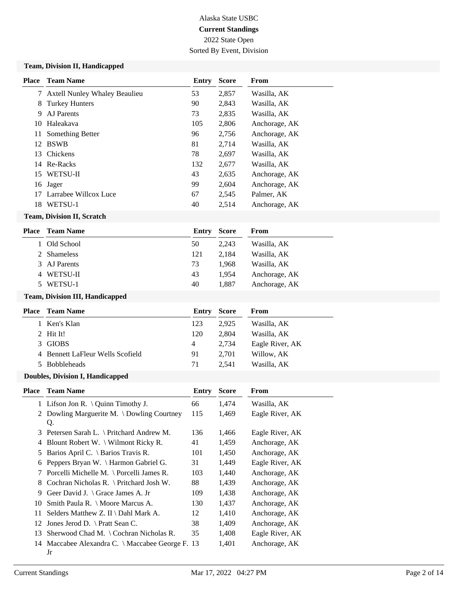# **Current Standings**

2022 State Open Sorted By Event, Division

#### **Team, Division II, Handicapped**

| Place | Team Name                            | Entry | <b>Score</b> | From          |
|-------|--------------------------------------|-------|--------------|---------------|
| 7     | <b>Axtell Nunley Whaley Beaulieu</b> | 53    | 2,857        | Wasilla, AK   |
| 8     | <b>Turkey Hunters</b>                | 90    | 2,843        | Wasilla, AK   |
| 9     | AJ Parents                           | 73    | 2,835        | Wasilla, AK   |
| 10    | Haleakava                            | 105   | 2,806        | Anchorage, AK |
| 11    | Something Better                     | 96    | 2,756        | Anchorage, AK |
| 12    | <b>BSWB</b>                          | 81    | 2,714        | Wasilla, AK   |
| 13    | <b>Chickens</b>                      | 78    | 2,697        | Wasilla, AK   |
|       | 14 Re-Racks                          | 132   | 2,677        | Wasilla, AK   |
| 15    | <b>WETSU-II</b>                      | 43    | 2,635        | Anchorage, AK |
|       | 16 Jager                             | 99    | 2,604        | Anchorage, AK |
| 17    | Larrabee Willcox Luce                | 67    | 2,545        | Palmer, AK    |
| 18    | WETSU-1                              | 40    | 2,514        | Anchorage, AK |
|       |                                      |       |              |               |

#### **Team, Division II, Scratch**

| Place | <b>Team Name</b> | Entry | <b>Score</b> | From          |
|-------|------------------|-------|--------------|---------------|
|       | Old School       | 50    | 2.243        | Wasilla, AK   |
|       | 2 Shameless      | 121   | 2.184        | Wasilla, AK   |
|       | 3 AJ Parents     | 73    | 1.968        | Wasilla, AK   |
| 4     | WETSU-II         | 43    | 1.954        | Anchorage, AK |
|       | 5 WETSU-1        | 40    | 1.887        | Anchorage, AK |
|       |                  |       |              |               |

#### **Team, Division III, Handicapped**

| <b>Place</b> | <b>Team Name</b>                 | Entry | Score | From            |
|--------------|----------------------------------|-------|-------|-----------------|
|              | 1 Ken's Klan                     | 123   | 2.925 | Wasilla, AK     |
|              | 2 Hit It!                        | 120   | 2.804 | Wasilla, AK     |
|              | <b>GIOBS</b>                     | 4     | 2.734 | Eagle River, AK |
|              | 4 Bennett LaFleur Wells Scofield | 91    | 2.701 | Willow, AK      |
|              | <b>Bobbleheads</b>               | 71    | 2.541 | Wasilla, AK     |
|              |                                  |       |       |                 |

## **Doubles, Division I, Handicapped**

| <b>Place</b> | <b>Team Name</b>                                    | Entry | <b>Score</b> | From            |
|--------------|-----------------------------------------------------|-------|--------------|-----------------|
|              | 1 Lifson Jon R. \ Quinn Timothy J.                  | 66    | 1,474        | Wasilla, AK     |
|              | 2 Dowling Marguerite M. \Dowling Courtney<br>Q.     | 115   | 1,469        | Eagle River, AK |
| 3            | Petersen Sarah L. \ Pritchard Andrew M.             | 136   | 1,466        | Eagle River, AK |
| 4            | Blount Robert W. $\setminus$ Wilmont Ricky R.       | 41    | 1,459        | Anchorage, AK   |
| 5            | Barios April C. \ Barios Travis R.                  | 101   | 1,450        | Anchorage, AK   |
| 6            | Peppers Bryan W. \ Harmon Gabriel G.                | 31    | 1,449        | Eagle River, AK |
| 7            | Porcelli Michelle M. \Porcelli James R.             | 103   | 1,440        | Anchorage, AK   |
| 8            | Cochran Nicholas R. \ Pritchard Josh W.             | 88    | 1,439        | Anchorage, AK   |
| 9            | Geer David J. $\langle$ Grace James A. Jr           | 109   | 1,438        | Anchorage, AK   |
| 10           | Smith Paula R. \ Moore Marcus A.                    | 130   | 1,437        | Anchorage, AK   |
| 11           | Selders Matthew Z. II \ Dahl Mark A.                | 12    | 1,410        | Anchorage, AK   |
| 12           | Jones Jerod D. $\$ Pratt Sean C.                    | 38    | 1,409        | Anchorage, AK   |
| 13           | Sherwood Chad M. \ Cochran Nicholas R.              | 35    | 1,408        | Eagle River, AK |
| 14           | Maccabee Alexandra C. \ Maccabee George F. 13<br>Jr |       | 1,401        | Anchorage, AK   |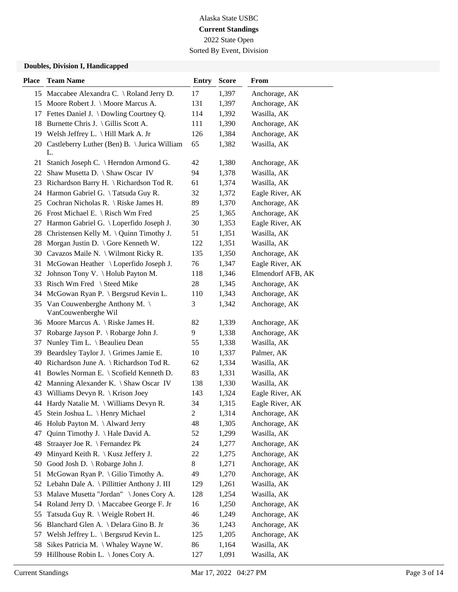2022 State Open

Sorted By Event, Division

#### **Doubles, Division I, Handicapped**

| <b>Place</b> | <b>Team Name</b>                                               | <b>Entry</b>   | <b>Score</b> | From              |
|--------------|----------------------------------------------------------------|----------------|--------------|-------------------|
|              | 15 Maccabee Alexandra C. \ Roland Jerry D.                     | 17             | 1,397        | Anchorage, AK     |
| 15           | Moore Robert J. \ Moore Marcus A.                              | 131            | 1,397        | Anchorage, AK     |
| 17           | Fettes Daniel J. \ Dowling Courtney Q.                         | 114            | 1,392        | Wasilla, AK       |
|              | 18 Burnette Chris J. \Gillis Scott A.                          | 111            | 1,390        | Anchorage, AK     |
|              | 19 Welsh Jeffrey L. \ Hill Mark A. Jr                          | 126            | 1,384        | Anchorage, AK     |
|              | 20 Castleberry Luther (Ben) B. \ Jurica William                | 65             | 1,382        | Wasilla, AK       |
|              | L.                                                             |                |              |                   |
| 21           | Stanich Joseph C. \ Herndon Armond G.                          | 42             | 1,380        | Anchorage, AK     |
|              | 22 Shaw Musetta D. \ Shaw Oscar IV                             | 94             | 1,378        | Wasilla, AK       |
|              | 23 Richardson Barry H. \ Richardson Tod R.                     | 61             | 1,374        | Wasilla, AK       |
|              | 24 Harmon Gabriel G. \Tatsuda Guy R.                           | 32             | 1,372        | Eagle River, AK   |
| 25           | Cochran Nicholas R. \ Riske James H.                           | 89             | 1,370        | Anchorage, AK     |
|              | 26 Frost Michael E. \ Risch Wm Fred                            | 25             | 1,365        | Anchorage, AK     |
| 27           | Harmon Gabriel G. \ Loperfido Joseph J.                        | 30             | 1,353        | Eagle River, AK   |
| 28           | Christensen Kelly M. \ Quinn Timothy J.                        | 51             | 1,351        | Wasilla, AK       |
| 28           | Morgan Justin D. $\setminus$ Gore Kenneth W.                   | 122            | 1,351        | Wasilla, AK       |
|              | 30 Cavazos Maile N. \ Wilmont Ricky R.                         | 135            | 1,350        | Anchorage, AK     |
| 31           | McGowan Heather \ Loperfido Joseph J.                          | 76             | 1,347        | Eagle River, AK   |
| 32           | Johnson Tony V. \ Holub Payton M.                              | 118            | 1,346        | Elmendorf AFB, AK |
| 33           | Risch Wm Fred \ Steed Mike                                     | 28             | 1,345        | Anchorage, AK     |
|              | 34 McGowan Ryan P. \ Bergsrud Kevin L.                         | 110            | 1,343        | Anchorage, AK     |
| 35           | Van Couwenberghe Anthony M. $\setminus$<br>VanCouwenberghe Wil | 3              | 1,342        | Anchorage, AK     |
|              | 36 Moore Marcus A. \ Riske James H.                            | 82             | 1,339        | Anchorage, AK     |
| 37           | Robarge Jayson P. \ Robarge John J.                            | 9              | 1,338        | Anchorage, AK     |
| 37           | Nunley Tim L. \ Beaulieu Dean                                  | 55             | 1,338        | Wasilla, AK       |
| 39           | Beardsley Taylor J. \ Grimes Jamie E.                          | 10             | 1,337        | Palmer, AK        |
| 40           | Richardson June A. \ Richardson Tod R.                         | 62             | 1,334        | Wasilla, AK       |
| 41           | Bowles Norman E. \ Scofield Kenneth D.                         | 83             | 1,331        | Wasilla, AK       |
| 42           | Manning Alexander K. \ Shaw Oscar IV                           | 138            | 1,330        | Wasilla, AK       |
| 43           | Williams Devyn R. $\langle$ Krison Joey                        | 143            | 1,324        | Eagle River, AK   |
|              | 44 Hardy Natalie M. \ Williams Devyn R.                        | 34             | 1,315        | Eagle River, AK   |
|              | 45 Stein Joshua L. \ Henry Michael                             | $\overline{c}$ | 1,314        | Anchorage, AK     |
|              | 46 Holub Payton M. \Alward Jerry                               | 48             | 1,305        | Anchorage, AK     |
| 47           | Quinn Timothy J. \ Hale David A.                               | 52             | 1,299        | Wasilla, AK       |
| 48           | Straayer Joe R. \ Fernandez Pk                                 | 24             | 1,277        | Anchorage, AK     |
| 49           | Minyard Keith R. \ Kusz Jeffery J.                             | 22             | 1,275        | Anchorage, AK     |
| 50           | Good Josh D. \ Robarge John J.                                 | 8              | 1,271        | Anchorage, AK     |
| 51           | McGowan Ryan P. $\langle$ Gilio Timothy A.                     | 49             | 1,270        | Anchorage, AK     |
| 52           | Lebahn Dale A. \ Pillittier Anthony J. III                     | 129            | 1,261        | Wasilla, AK       |
| 53           | Malave Musetta "Jordan" \ Jones Cory A.                        | 128            | 1,254        | Wasilla, AK       |
| 54           | Roland Jerry D. \ Maccabee George F. Jr                        | 16             | 1,250        | Anchorage, AK     |
| 55           | Tatsuda Guy R. \ Weigle Robert H.                              | 46             | 1,249        | Anchorage, AK     |
| 56           | Blanchard Glen A. \ Delara Gino B. Jr                          | 36             | 1,243        | Anchorage, AK     |
| 57           | Welsh Jeffrey L. $\operatorname{Bergsrud}$ Kevin L.            | 125            | 1,205        | Anchorage, AK     |
| 58           | Sikes Patricia M. \ Whaley Wayne W.                            | 86             | 1,164        | Wasilla, AK       |
| 59           | Hillhouse Robin L. \ Jones Cory A.                             | 127            | 1,091        | Wasilla, AK       |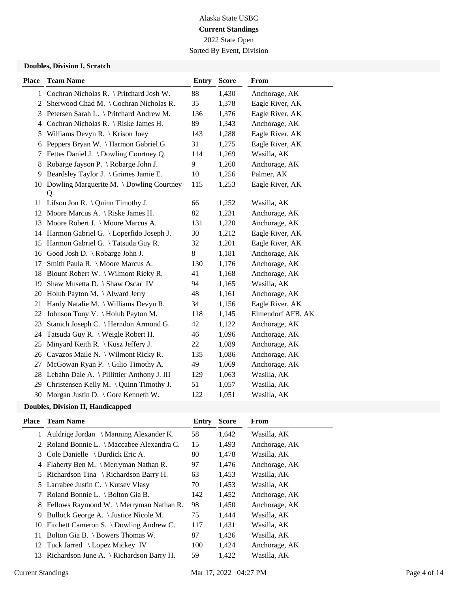2022 State Open Sorted By Event, Division

#### **Doubles, Division I, Scratch**

| <b>Place</b> | <b>Team Name</b>                             | <b>Entry</b> | <b>Score</b> | From              |
|--------------|----------------------------------------------|--------------|--------------|-------------------|
| $\mathbf{1}$ | Cochran Nicholas R. \ Pritchard Josh W.      | 88           | 1,430        | Anchorage, AK     |
| 2            | Sherwood Chad M. \ Cochran Nicholas R.       | 35           | 1,378        | Eagle River, AK   |
| 3            | Petersen Sarah L. \ Pritchard Andrew M.      | 136          | 1,376        | Eagle River, AK   |
| 4            | Cochran Nicholas R. \ Riske James H.         | 89           | 1,343        | Anchorage, AK     |
| 5            | Williams Devyn R.   Krison Joey              | 143          | 1,288        | Eagle River, AK   |
| 6            | Peppers Bryan W. \ Harmon Gabriel G.         | 31           | 1,275        | Eagle River, AK   |
| 7            | Fettes Daniel J. \ Dowling Courtney Q.       | 114          | 1,269        | Wasilla, AK       |
| 8            | Robarge Jayson P. \ Robarge John J.          | 9            | 1,260        | Anchorage, AK     |
| 9            | Beardsley Taylor J. \ Grimes Jamie E.        | 10           | 1,256        | Palmer, AK        |
|              | 10 Dowling Marguerite M. \Dowling Courtney   | 115          | 1,253        | Eagle River, AK   |
|              | Q.                                           |              |              |                   |
| 11           | Lifson Jon R. $\setminus$ Quinn Timothy J.   | 66           | 1,252        | Wasilla, AK       |
|              | 12 Moore Marcus A. \ Riske James H.          | 82           | 1,231        | Anchorage, AK     |
| 13           | Moore Robert J. \ Moore Marcus A.            | 131          | 1,220        | Anchorage, AK     |
|              | 14 Harmon Gabriel G. \ Loperfido Joseph J.   | 30           | 1,212        | Eagle River, AK   |
| 15           | Harmon Gabriel G. \Tatsuda Guy R.            | 32           | 1,201        | Eagle River, AK   |
| 16           | Good Josh D. \ Robarge John J.               | 8            | 1,181        | Anchorage, AK     |
| 17           | Smith Paula R. \ Moore Marcus A.             | 130          | 1,176        | Anchorage, AK     |
| 18           | Blount Robert W. \ Wilmont Ricky R.          | 41           | 1,168        | Anchorage, AK     |
| 19           | Shaw Musetta D. \ Shaw Oscar IV              | 94           | 1,165        | Wasilla, AK       |
|              | 20 Holub Payton M. \Alward Jerry             | 48           | 1,161        | Anchorage, AK     |
| 21           | Hardy Natalie M. \ Williams Devyn R.         | 34           | 1,156        | Eagle River, AK   |
| 22           | Johnson Tony V. \ Holub Payton M.            | 118          | 1,145        | Elmendorf AFB, AK |
| 23           | Stanich Joseph C. \ Herndon Armond G.        | 42           | 1,122        | Anchorage, AK     |
| 24           | Tatsuda Guy R. \ Weigle Robert H.            | 46           | 1,096        | Anchorage, AK     |
| 25           | Minyard Keith R. \ Kusz Jeffery J.           | 22           | 1,089        | Anchorage, AK     |
|              | 26 Cavazos Maile N. \ Wilmont Ricky R.       | 135          | 1,086        | Anchorage, AK     |
| 27           | McGowan Ryan P. \ Gilio Timothy A.           | 49           | 1,069        | Anchorage, AK     |
| 28           | Lebahn Dale A. \ Pillittier Anthony J. III   | 129          | 1,063        | Wasilla, AK       |
| 29           | Christensen Kelly M. \ Quinn Timothy J.      | 51           | 1,057        | Wasilla, AK       |
| 30           | Morgan Justin D. $\setminus$ Gore Kenneth W. | 122          | 1,051        | Wasilla, AK       |
|              | $\mathbf{D}$ $\mathbf{H}$                    |              |              |                   |

#### **Doubles, Division II, Handicapped**

| Place | <b>Team Name</b>                           | Entry | <b>Score</b> | From          |
|-------|--------------------------------------------|-------|--------------|---------------|
|       | 1 Auldrige Jordan \ Manning Alexander K.   | 58    | 1,642        | Wasilla, AK   |
|       | 2 Roland Bonnie L. \ Maccabee Alexandra C. | 15    | 1,493        | Anchorage, AK |
|       | 3 Cole Danielle \ Burdick Eric A.          | 80    | 1,478        | Wasilla, AK   |
|       | 4 Flaherty Ben M. \ Merryman Nathan R.     | 97    | 1,476        | Anchorage, AK |
|       | 5 Richardson Tina \ Richardson Barry H.    | 63    | 1,453        | Wasilla, AK   |
|       | 5 Larrabee Justin C. \ Kutsev Vlasy        | 70    | 1,453        | Wasilla, AK   |
|       | Roland Bonnie L. \ Bolton Gia B.           | 142   | 1,452        | Anchorage, AK |
|       | 8 Fellows Raymond W. \ Merryman Nathan R.  | 98    | 1,450        | Anchorage, AK |
| 9     | Bullock George A. \ Justice Nicole M.      | 75    | 1,444        | Wasilla, AK   |
|       | 10 Fitchett Cameron S. \ Dowling Andrew C. | 117   | 1,431        | Wasilla, AK   |
| 11    | Bolton Gia B. $\setminus$ Bowers Thomas W. | 87    | 1,426        | Wasilla, AK   |
| 12    | Tuck Jarred \ Lopez Mickey IV              | 100   | 1,424        | Anchorage, AK |
| 13    | Richardson June A. \ Richardson Barry H.   | 59    | 1,422        | Wasilla, AK   |
|       |                                            |       |              |               |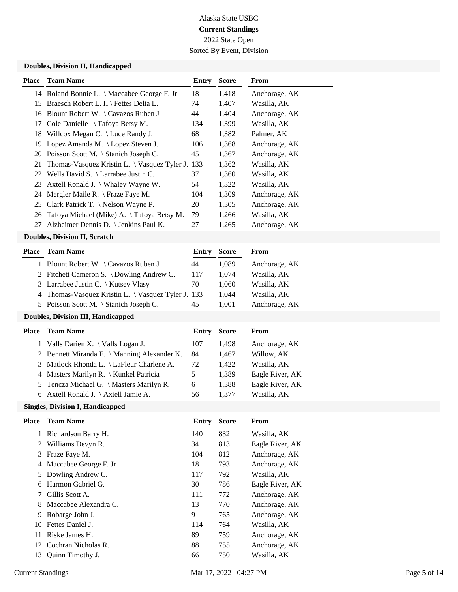# **Current Standings**

2022 State Open Sorted By Event, Division

#### **Doubles, Division II, Handicapped**

| <b>Place</b> | <b>Team Name</b>                                          | Entry | <b>Score</b> | From          |
|--------------|-----------------------------------------------------------|-------|--------------|---------------|
|              | 14 Roland Bonnie L. \ Maccabee George F. Jr               | 18    | 1,418        | Anchorage, AK |
| 15           | Braesch Robert L. II \ Fettes Delta L.                    | 74    | 1,407        | Wasilla, AK   |
|              | 16 Blount Robert W. \ Cavazos Ruben J                     | 44    | 1,404        | Anchorage, AK |
|              | 17 Cole Danielle \ Tafoya Betsy M.                        | 134   | 1,399        | Wasilla, AK   |
|              | 18 Willcox Megan C. \ Luce Randy J.                       | 68    | 1,382        | Palmer, AK    |
| 19           | Lopez Amanda M. \ Lopez Steven J.                         | 106   | 1,368        | Anchorage, AK |
|              | 20 Poisson Scott M. \ Stanich Joseph C.                   | 45    | 1,367        | Anchorage, AK |
|              | 21 Thomas-Vasquez Kristin L. $\setminus$ Vasquez Tyler J. | 133   | 1,362        | Wasilla, AK   |
|              | 22 Wells David S. \ Larrabee Justin C.                    | 37    | 1,360        | Wasilla, AK   |
|              | 23 Axtell Ronald J. \ Whaley Wayne W.                     | 54    | 1,322        | Wasilla, AK   |
|              | 24 Mergler Maile R. \ Fraze Faye M.                       | 104   | 1,309        | Anchorage, AK |
|              | 25 Clark Patrick T. \Nelson Wayne P.                      | 20    | 1,305        | Anchorage, AK |
|              | 26 Tafoya Michael (Mike) A. \Tafoya Betsy M.              | 79    | 1,266        | Wasilla, AK   |
| 27           | Alzheimer Dennis D. \ Jenkins Paul K.                     | 27    | 1,265        | Anchorage, AK |

## **Doubles, Division II, Scratch**

| <b>Place – Team Name</b>                           | Entry | <b>Score</b> | From          |
|----------------------------------------------------|-------|--------------|---------------|
| 1 Blount Robert W. \ Cavazos Ruben J               | 44    | 1.089        | Anchorage, AK |
| 2 Fitchett Cameron S. \ Dowling Andrew C.          | 117   | 1.074        | Wasilla, AK   |
| 3 Larrabee Justin C. \ Kutsev Vlasy                | 70    | 1,060        | Wasilla, AK   |
| 4 Thomas-Vasquez Kristin L. \ Vasquez Tyler J. 133 |       | 1,044        | Wasilla, AK   |
| 5 Poisson Scott M. \ Stanich Joseph C.             | 45    | 1.001        | Anchorage, AK |
|                                                    |       |              |               |

#### **Doubles, Division III, Handicapped**

| Place | <b>Team Name</b>                            | Entry | <b>Score</b> | From            |
|-------|---------------------------------------------|-------|--------------|-----------------|
|       | 1 Valls Darien X. \ Valls Logan J.          | 107   | 1,498        | Anchorage, AK   |
|       | 2 Bennett Miranda E. \ Manning Alexander K. | 84    | 1,467        | Willow, AK      |
|       | 3 Matlock Rhonda L. \ LaFleur Charlene A.   | 72    | 1.422        | Wasilla, AK     |
|       | 4 Masters Marilyn R. \ Kunkel Patricia      | 5.    | 1,389        | Eagle River, AK |
|       | 5 Tencza Michael G. \ Masters Marilyn R.    | 6     | 1,388        | Eagle River, AK |
|       | 6 Axtell Ronald J. \Axtell Jamie A.         | 56    | 1.377        | Wasilla, AK     |
|       |                                             |       |              |                 |

#### **Singles, Division I, Handicapped**

| Place | <b>Team Name</b>      | Entry | <b>Score</b> | From            |
|-------|-----------------------|-------|--------------|-----------------|
|       | 1 Richardson Barry H. | 140   | 832          | Wasilla, AK     |
|       | 2 Williams Devyn R.   | 34    | 813          | Eagle River, AK |
| 3     | Fraze Faye M.         | 104   | 812          | Anchorage, AK   |
| 4     | Maccabee George F. Jr | 18    | 793          | Anchorage, AK   |
| 5     | Dowling Andrew C.     | 117   | 792          | Wasilla, AK     |
| 6     | Harmon Gabriel G.     | 30    | 786          | Eagle River, AK |
| 7     | Gillis Scott A.       | 111   | 772          | Anchorage, AK   |
| 8     | Maccabee Alexandra C. | 13    | 770          | Anchorage, AK   |
| 9     | Robarge John J.       | 9     | 765          | Anchorage, AK   |
| 10    | Fettes Daniel J.      | 114   | 764          | Wasilla, AK     |
| 11    | Riske James H.        | 89    | 759          | Anchorage, AK   |
| 12    | Cochran Nicholas R.   | 88    | 755          | Anchorage, AK   |
| 13    | Quinn Timothy J.      | 66    | 750          | Wasilla, AK     |
|       |                       |       |              |                 |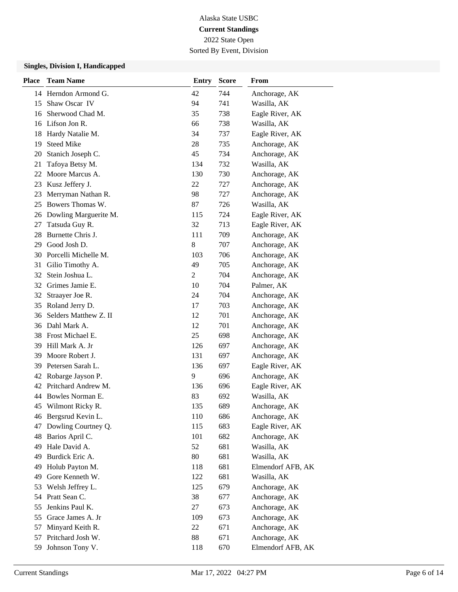# 2022 State Open

Sorted By Event, Division

#### **Singles, Division I, Handicapped**

| <b>Place</b> | <b>Team Name</b>      | <b>Entry</b> | <b>Score</b> | From              |
|--------------|-----------------------|--------------|--------------|-------------------|
|              | 14 Herndon Armond G.  | 42           | 744          | Anchorage, AK     |
| 15           | Shaw Oscar IV         | 94           | 741          | Wasilla, AK       |
| 16           | Sherwood Chad M.      | 35           | 738          | Eagle River, AK   |
|              | 16 Lifson Jon R.      | 66           | 738          | Wasilla, AK       |
| 18           | Hardy Natalie M.      | 34           | 737          | Eagle River, AK   |
| 19           | <b>Steed Mike</b>     | 28           | 735          | Anchorage, AK     |
| 20           | Stanich Joseph C.     | 45           | 734          | Anchorage, AK     |
| 21           | Tafoya Betsy M.       | 134          | 732          | Wasilla, AK       |
| 22           | Moore Marcus A.       | 130          | 730          | Anchorage, AK     |
| 23           | Kusz Jeffery J.       | 22           | 727          | Anchorage, AK     |
| 23           | Merryman Nathan R.    | 98           | 727          | Anchorage, AK     |
| 25           | Bowers Thomas W.      | 87           | 726          | Wasilla, AK       |
| 26           | Dowling Marguerite M. | 115          | 724          | Eagle River, AK   |
| 27           | Tatsuda Guy R.        | 32           | 713          | Eagle River, AK   |
| 28           | Burnette Chris J.     | 111          | 709          | Anchorage, AK     |
|              | 29 Good Josh D.       | 8            | 707          | Anchorage, AK     |
| 30           | Porcelli Michelle M.  | 103          | 706          | Anchorage, AK     |
| 31           | Gilio Timothy A.      | 49           | 705          | Anchorage, AK     |
| 32           | Stein Joshua L.       | 2            | 704          | Anchorage, AK     |
|              | 32 Grimes Jamie E.    | 10           | 704          | Palmer, AK        |
| 32           | Straayer Joe R.       | 24           | 704          | Anchorage, AK     |
| 35           | Roland Jerry D.       | 17           | 703          | Anchorage, AK     |
| 36           | Selders Matthew Z. II | 12           | 701          | Anchorage, AK     |
|              | 36 Dahl Mark A.       | 12           | 701          | Anchorage, AK     |
| 38           | Frost Michael E.      | 25           | 698          | Anchorage, AK     |
| 39           | Hill Mark A. Jr       | 126          | 697          | Anchorage, AK     |
| 39           | Moore Robert J.       | 131          | 697          | Anchorage, AK     |
|              | 39 Petersen Sarah L.  | 136          | 697          | Eagle River, AK   |
| 42           | Robarge Jayson P.     | 9            | 696          | Anchorage, AK     |
| 42           | Pritchard Andrew M.   | 136          | 696          | Eagle River, AK   |
|              | 44 Bowles Norman E.   | 83           | 692          | Wasilla, AK       |
|              | 45 Wilmont Ricky R.   | 135          | 689          | Anchorage, AK     |
| 46           | Bergsrud Kevin L.     | 110          | 686          | Anchorage, AK     |
| 47           | Dowling Courtney Q.   | 115          | 683          | Eagle River, AK   |
| 48           | Barios April C.       | 101          | 682          | Anchorage, AK     |
| 49           | Hale David A.         | 52           | 681          | Wasilla, AK       |
| 49           | Burdick Eric A.       | 80           | 681          | Wasilla, AK       |
| 49           | Holub Payton M.       | 118          | 681          | Elmendorf AFB, AK |
| 49           | Gore Kenneth W.       | 122          | 681          | Wasilla, AK       |
| 53           | Welsh Jeffrey L.      | 125          | 679          | Anchorage, AK     |
| 54           | Pratt Sean C.         | 38           | 677          | Anchorage, AK     |
| 55           | Jenkins Paul K.       | 27           | 673          | Anchorage, AK     |
| 55           | Grace James A. Jr     | 109          | 673          | Anchorage, AK     |
| 57           | Minyard Keith R.      | 22           | 671          | Anchorage, AK     |
| 57           | Pritchard Josh W.     | 88           | 671          | Anchorage, AK     |
| 59           | Johnson Tony V.       | 118          | 670          | Elmendorf AFB, AK |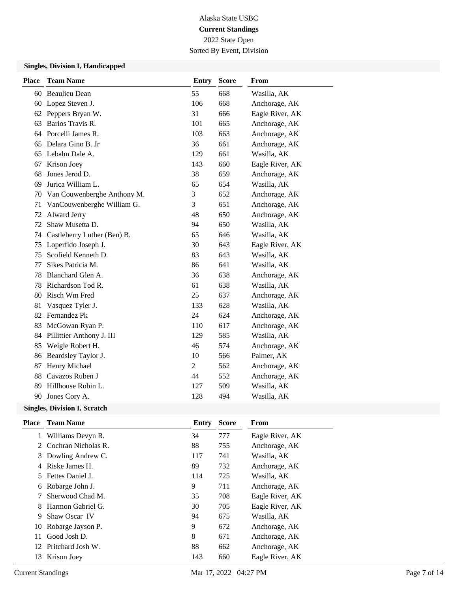# **Current Standings**

2022 State Open Sorted By Event, Division

#### **Singles, Division I, Handicapped**

| <b>Place</b> | <b>Team Name</b>            | <b>Entry</b>   | <b>Score</b> | From            |
|--------------|-----------------------------|----------------|--------------|-----------------|
| 60           | <b>Beaulieu Dean</b>        | 55             | 668          | Wasilla, AK     |
| 60           | Lopez Steven J.             | 106            | 668          | Anchorage, AK   |
| 62           | Peppers Bryan W.            | 31             | 666          | Eagle River, AK |
| 63           | Barios Travis R.            | 101            | 665          | Anchorage, AK   |
| 64           | Porcelli James R.           | 103            | 663          | Anchorage, AK   |
| 65           | Delara Gino B. Jr           | 36             | 661          | Anchorage, AK   |
| 65           | Lebahn Dale A.              | 129            | 661          | Wasilla, AK     |
| 67           | Krison Joey                 | 143            | 660          | Eagle River, AK |
| 68           | Jones Jerod D.              | 38             | 659          | Anchorage, AK   |
| 69           | Jurica William L.           | 65             | 654          | Wasilla, AK     |
| 70           | Van Couwenberghe Anthony M. | 3              | 652          | Anchorage, AK   |
| 71           | VanCouwenberghe William G.  | 3              | 651          | Anchorage, AK   |
| 72           | Alward Jerry                | 48             | 650          | Anchorage, AK   |
| 72           | Shaw Musetta D.             | 94             | 650          | Wasilla, AK     |
| 74           | Castleberry Luther (Ben) B. | 65             | 646          | Wasilla, AK     |
| 75           | Loperfido Joseph J.         | 30             | 643          | Eagle River, AK |
| 75           | Scofield Kenneth D.         | 83             | 643          | Wasilla, AK     |
| 77           | Sikes Patricia M.           | 86             | 641          | Wasilla, AK     |
| 78           | Blanchard Glen A.           | 36             | 638          | Anchorage, AK   |
| 78           | Richardson Tod R.           | 61             | 638          | Wasilla, AK     |
| 80           | Risch Wm Fred               | 25             | 637          | Anchorage, AK   |
| 81           | Vasquez Tyler J.            | 133            | 628          | Wasilla, AK     |
| 82           | Fernandez Pk                | 24             | 624          | Anchorage, AK   |
| 83           | McGowan Ryan P.             | 110            | 617          | Anchorage, AK   |
| 84           | Pillittier Anthony J. III   | 129            | 585          | Wasilla, AK     |
| 85           | Weigle Robert H.            | 46             | 574          | Anchorage, AK   |
| 86           | Beardsley Taylor J.         | 10             | 566          | Palmer, AK      |
| 87           | Henry Michael               | $\overline{2}$ | 562          | Anchorage, AK   |
| 88           | Cavazos Ruben J             | 44             | 552          | Anchorage, AK   |
| 89           | Hillhouse Robin L.          | 127            | 509          | Wasilla, AK     |
|              | 90 Jones Cory A.            | 128            | 494          | Wasilla, AK     |
|              |                             |                |              |                 |

## **Singles, Division I, Scratch**

| Place | <b>Team Name</b>      | <b>Entry</b> | <b>Score</b> | From            |
|-------|-----------------------|--------------|--------------|-----------------|
|       | 1 Williams Devyn R.   | 34           | 777          | Eagle River, AK |
|       | 2 Cochran Nicholas R. | 88           | 755          | Anchorage, AK   |
|       | 3 Dowling Andrew C.   | 117          | 741          | Wasilla, AK     |
| 4     | Riske James H.        | 89           | 732          | Anchorage, AK   |
| 5.    | Fettes Daniel J.      | 114          | 725          | Wasilla, AK     |
|       | 6 Robarge John J.     | 9            | 711          | Anchorage, AK   |
|       | Sherwood Chad M.      | 35           | 708          | Eagle River, AK |
| 8     | Harmon Gabriel G.     | 30           | 705          | Eagle River, AK |
| 9     | Shaw Oscar IV         | 94           | 675          | Wasilla, AK     |
| 10    | Robarge Jayson P.     | 9            | 672          | Anchorage, AK   |
| 11    | Good Josh D.          | 8            | 671          | Anchorage, AK   |
| 12    | Pritchard Josh W.     | 88           | 662          | Anchorage, AK   |
| 13    | Krison Joey           | 143          | 660          | Eagle River, AK |
|       |                       |              |              |                 |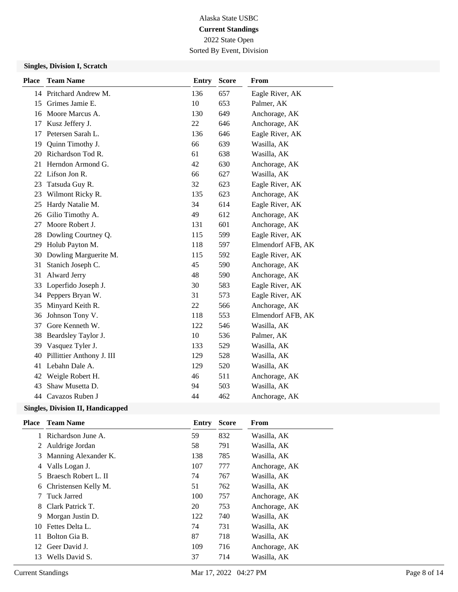2022 State Open Sorted By Event, Division

#### **Singles, Division I, Scratch**

| <b>Team Name</b>          | <b>Entry</b>                                 | <b>Score</b> | <b>From</b>       |
|---------------------------|----------------------------------------------|--------------|-------------------|
|                           | 136                                          | 657          | Eagle River, AK   |
| Grimes Jamie E.           | 10                                           | 653          | Palmer, AK        |
| Moore Marcus A.           | 130                                          | 649          | Anchorage, AK     |
| Kusz Jeffery J.           | 22                                           | 646          | Anchorage, AK     |
| Petersen Sarah L.         | 136                                          | 646          | Eagle River, AK   |
| Quinn Timothy J.          | 66                                           | 639          | Wasilla, AK       |
| Richardson Tod R.         | 61                                           | 638          | Wasilla, AK       |
| Herndon Armond G.         | 42                                           | 630          | Anchorage, AK     |
| Lifson Jon R.             | 66                                           | 627          | Wasilla, AK       |
| Tatsuda Guy R.            | 32                                           | 623          | Eagle River, AK   |
| Wilmont Ricky R.          | 135                                          | 623          | Anchorage, AK     |
| Hardy Natalie M.          | 34                                           | 614          | Eagle River, AK   |
| Gilio Timothy A.          | 49                                           | 612          | Anchorage, AK     |
| Moore Robert J.           | 131                                          | 601          | Anchorage, AK     |
| Dowling Courtney Q.       | 115                                          | 599          | Eagle River, AK   |
| Holub Payton M.           | 118                                          | 597          | Elmendorf AFB, AK |
| Dowling Marguerite M.     | 115                                          | 592          | Eagle River, AK   |
| Stanich Joseph C.         | 45                                           | 590          | Anchorage, AK     |
| Alward Jerry              | 48                                           | 590          | Anchorage, AK     |
| Loperfido Joseph J.       | 30                                           | 583          | Eagle River, AK   |
| Peppers Bryan W.          | 31                                           | 573          | Eagle River, AK   |
| Minyard Keith R.          | 22                                           | 566          | Anchorage, AK     |
| Johnson Tony V.           | 118                                          | 553          | Elmendorf AFB, AK |
| Gore Kenneth W.           | 122                                          | 546          | Wasilla, AK       |
| Beardsley Taylor J.       | 10                                           | 536          | Palmer, AK        |
| Vasquez Tyler J.          | 133                                          | 529          | Wasilla, AK       |
| Pillittier Anthony J. III | 129                                          | 528          | Wasilla, AK       |
| Lebahn Dale A.            | 129                                          | 520          | Wasilla, AK       |
| Weigle Robert H.          | 46                                           | 511          | Anchorage, AK     |
| Shaw Musetta D.           | 94                                           | 503          | Wasilla, AK       |
|                           | 44                                           | 462          | Anchorage, AK     |
|                           | 14 Pritchard Andrew M.<br>44 Cavazos Ruben J |              |                   |

## **Singles, Division II, Handicapped**

| <b>Team Name</b>     | Entry                                                                                                                                                       | <b>Score</b> | From          |
|----------------------|-------------------------------------------------------------------------------------------------------------------------------------------------------------|--------------|---------------|
|                      | 59                                                                                                                                                          | 832          | Wasilla, AK   |
|                      | 58                                                                                                                                                          | 791          | Wasilla, AK   |
|                      | 138                                                                                                                                                         | 785          | Wasilla, AK   |
|                      | 107                                                                                                                                                         | 777          | Anchorage, AK |
| Braesch Robert L. II | 74                                                                                                                                                          | 767          | Wasilla, AK   |
|                      | 51                                                                                                                                                          | 762          | Wasilla, AK   |
| <b>Tuck Jarred</b>   | 100                                                                                                                                                         | 757          | Anchorage, AK |
|                      | 20                                                                                                                                                          | 753          | Anchorage, AK |
|                      | 122                                                                                                                                                         | 740          | Wasilla, AK   |
| Fettes Delta L.      | 74                                                                                                                                                          | 731          | Wasilla, AK   |
| Bolton Gia B.        | 87                                                                                                                                                          | 718          | Wasilla, AK   |
| Geer David J.        | 109                                                                                                                                                         | 716          | Anchorage, AK |
| Wells David S.       | 37                                                                                                                                                          | 714          | Wasilla, AK   |
|                      | 1 Richardson June A.<br>2 Auldrige Jordan<br>3 Manning Alexander K.<br>4 Valls Logan J.<br>6 Christensen Kelly M.<br>8 Clark Patrick T.<br>Morgan Justin D. |              |               |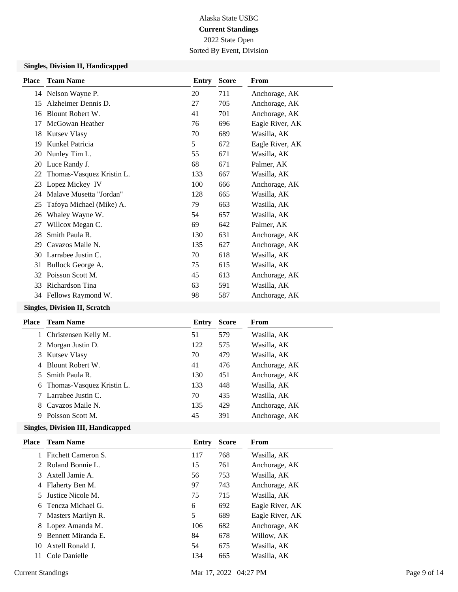# 2022 State Open

Sorted By Event, Division

#### **Singles, Division II, Handicapped**

| <b>Place</b> | <b>Team Name</b>          | Entry | <b>Score</b> | From            |
|--------------|---------------------------|-------|--------------|-----------------|
| 14           | Nelson Wayne P.           | 20    | 711          | Anchorage, AK   |
| 15           | Alzheimer Dennis D.       | 27    | 705          | Anchorage, AK   |
| 16           | Blount Robert W.          | 41    | 701          | Anchorage, AK   |
| 17           | McGowan Heather           | 76    | 696          | Eagle River, AK |
| 18           | <b>Kutsev Vlasy</b>       | 70    | 689          | Wasilla, AK     |
| 19           | Kunkel Patricia           | 5     | 672          | Eagle River, AK |
| 20           | Nunley Tim L.             | 55    | 671          | Wasilla, AK     |
| 20           | Luce Randy J.             | 68    | 671          | Palmer, AK      |
| 22           | Thomas-Vasquez Kristin L. | 133   | 667          | Wasilla, AK     |
| 23           | Lopez Mickey IV           | 100   | 666          | Anchorage, AK   |
| 24           | Malaye Musetta "Jordan"   | 128   | 665          | Wasilla, AK     |
| 25           | Tafoya Michael (Mike) A.  | 79    | 663          | Wasilla, AK     |
| 26           | Whaley Wayne W.           | 54    | 657          | Wasilla, AK     |
| 27           | Willcox Megan C.          | 69    | 642          | Palmer, AK      |
| 28           | Smith Paula R.            | 130   | 631          | Anchorage, AK   |
| 29           | Cavazos Maile N.          | 135   | 627          | Anchorage, AK   |
| 30           | Larrabee Justin C.        | 70    | 618          | Wasilla, AK     |
| 31           | Bullock George A.         | 75    | 615          | Wasilla, AK     |
|              | 32 Poisson Scott M.       | 45    | 613          | Anchorage, AK   |
| 33           | Richardson Tina           | 63    | 591          | Wasilla, AK     |
|              | 34 Fellows Raymond W.     | 98    | 587          | Anchorage, AK   |
|              |                           |       |              |                 |

## **Singles, Division II, Scratch**

| Place | <b>Team Name</b>            | Entry | <b>Score</b> | From          |
|-------|-----------------------------|-------|--------------|---------------|
|       | 1 Christensen Kelly M.      | 51    | 579          | Wasilla, AK   |
|       | 2 Morgan Justin D.          | 122   | 575          | Wasilla, AK   |
|       | 3 Kutsey Vlasy              | 70    | 479          | Wasilla, AK   |
|       | 4 Blount Robert W.          | 41    | 476          | Anchorage, AK |
|       | 5 Smith Paula R.            | 130   | 451          | Anchorage, AK |
|       | 6 Thomas-Vasquez Kristin L. | 133   | 448          | Wasilla, AK   |
|       | 7 Larrabee Justin C.        | 70    | 435          | Wasilla, AK   |
|       | 8 Cavazos Maile N.          | 135   | 429          | Anchorage, AK |
| 9     | Poisson Scott M.            | 45    | 391          | Anchorage, AK |
|       |                             |       |              |               |

# **Singles, Division III, Handicapped**

| Place | <b>Team Name</b>     | Entry | <b>Score</b> | From            |
|-------|----------------------|-------|--------------|-----------------|
|       | Fitchett Cameron S.  | 117   | 768          | Wasilla, AK     |
|       | 2 Roland Bonnie L.   | 15    | 761          | Anchorage, AK   |
|       | 3 Axtell Jamie A.    | 56    | 753          | Wasilla, AK     |
| 4     | Flaherty Ben M.      | 97    | 743          | Anchorage, AK   |
| 5.    | Justice Nicole M.    | 75    | 715          | Wasilla, AK     |
|       | 6 Tencza Michael G.  | 6     | 692          | Eagle River, AK |
|       | 7 Masters Marilyn R. | 5     | 689          | Eagle River, AK |
|       | 8 Lopez Amanda M.    | 106   | 682          | Anchorage, AK   |
| 9     | Bennett Miranda E.   | 84    | 678          | Willow, AK      |
| 10    | Axtell Ronald J.     | 54    | 675          | Wasilla, AK     |
| 11    | Cole Danielle        | 134   | 665          | Wasilla, AK     |
|       |                      |       |              |                 |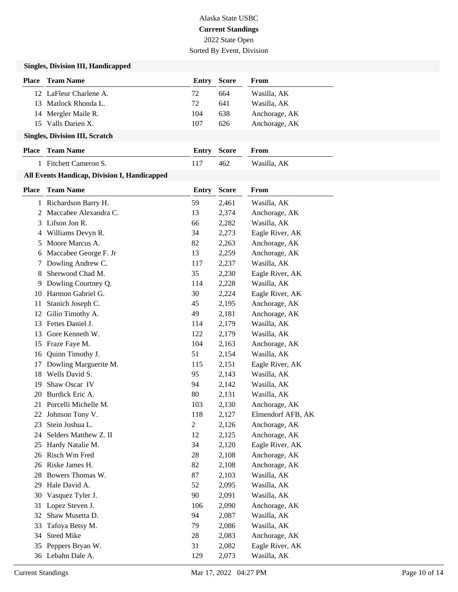# Alaska State USBC **Current Standings** 2022 State Open

Sorted By Event, Division

#### **Singles, Division III, Handicapped**

| <b>Place</b> | <b>Team Name</b>                             | <b>Entry</b> | <b>Score</b> | From              |
|--------------|----------------------------------------------|--------------|--------------|-------------------|
|              | 12 LaFleur Charlene A.                       | 72           | 664          | Wasilla, AK       |
| 13           | Matlock Rhonda L.                            | 72           | 641          | Wasilla, AK       |
| 14           | Mergler Maile R.                             | 104          | 638          | Anchorage, AK     |
|              | 15 Valls Darien X.                           | 107          | 626          | Anchorage, AK     |
|              | <b>Singles, Division III, Scratch</b>        |              |              |                   |
| <b>Place</b> | <b>Team Name</b>                             | <b>Entry</b> | <b>Score</b> | From              |
|              | 1 Fitchett Cameron S.                        | 117          | 462          | Wasilla, AK       |
|              | All Events Handicap, Division I, Handicapped |              |              |                   |
| <b>Place</b> | <b>Team Name</b>                             | <b>Entry</b> | <b>Score</b> | From              |
|              | 1 Richardson Barry H.                        | 59           | 2,461        | Wasilla, AK       |
| 2            | Maccabee Alexandra C.                        | 13           | 2,374        | Anchorage, AK     |
| 3            | Lifson Jon R.                                | 66           | 2,282        | Wasilla, AK       |
| 4            | Williams Devyn R.                            | 34           | 2,273        | Eagle River, AK   |
| 5            | Moore Marcus A.                              | 82           | 2,263        | Anchorage, AK     |
| 6            | Maccabee George F. Jr                        | 13           | 2,259        | Anchorage, AK     |
| 7            | Dowling Andrew C.                            | 117          | 2,237        | Wasilla, AK       |
| 8            | Sherwood Chad M.                             | 35           | 2,230        | Eagle River, AK   |
| 9            | Dowling Courtney Q.                          | 114          | 2,228        | Wasilla, AK       |
| 10           | Harmon Gabriel G.                            | 30           | 2,224        | Eagle River, AK   |
| 11           | Stanich Joseph C.                            | 45           | 2,195        | Anchorage, AK     |
| 12           | Gilio Timothy A.                             | 49           | 2,181        | Anchorage, AK     |
| 13           | Fettes Daniel J.                             | 114          | 2,179        | Wasilla, AK       |
| 13           | Gore Kenneth W.                              | 122          | 2,179        | Wasilla, AK       |
| 15           | Fraze Faye M.                                | 104          | 2,163        | Anchorage, AK     |
| 16           | Quinn Timothy J.                             | 51           | 2,154        | Wasilla, AK       |
| 17           | Dowling Marguerite M.                        | 115          | 2,151        | Eagle River, AK   |
| 18           | Wells David S.                               | 95           | 2,143        | Wasilla, AK       |
| 19           | Shaw Oscar IV                                | 94           | 2,142        | Wasilla, AK       |
| 20           | Burdick Eric A.                              | 80           |              | Wasilla, AK       |
|              |                                              |              | 2,131        |                   |
|              | 21 Porcelli Michelle M.                      | 103          | 2,130        | Anchorage, AK     |
| 22           | Johnson Tony V.                              | 118          | 2,127        | Elmendorf AFB, AK |
| 23           | Stein Joshua L.                              | 2            | 2,126        | Anchorage, AK     |
| 24           | Selders Matthew Z. II                        | 12           | 2,125        | Anchorage, AK     |
| 25           | Hardy Natalie M.                             | 34           | 2,120        | Eagle River, AK   |
| 26           | Risch Wm Fred                                | 28           | 2,108        | Anchorage, AK     |
| 26           | Riske James H.                               | 82           | 2,108        | Anchorage, AK     |
| 28           | Bowers Thomas W.                             | 87           | 2,103        | Wasilla, AK       |
| 29           | Hale David A.                                | 52           | 2,095        | Wasilla, AK       |
| 30           | Vasquez Tyler J.                             | 90           | 2,091        | Wasilla, AK       |
| 31           | Lopez Steven J.                              | 106          | 2,090        | Anchorage, AK     |
| 32           | Shaw Musetta D.                              | 94           | 2,087        | Wasilla, AK       |
| 33           | Tafoya Betsy M.                              | 79           | 2,086        | Wasilla, AK       |
| 34           | <b>Steed Mike</b>                            | 28           | 2,083        | Anchorage, AK     |
| 35           | Peppers Bryan W.                             | 31           | 2,082        | Eagle River, AK   |
|              | 36 Lebahn Dale A.                            | 129          | 2,073        | Wasilla, AK       |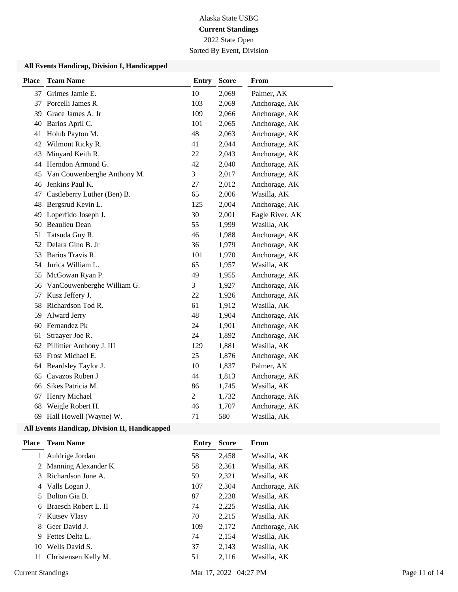#### **Current Standings**

2022 State Open Sorted By Event, Division

#### **All Events Handicap, Division I, Handicapped**

| <b>Place</b> | <b>Team Name</b>            | <b>Entry</b> | <b>Score</b> | From            |
|--------------|-----------------------------|--------------|--------------|-----------------|
| 37           | Grimes Jamie E.             | 10           | 2,069        | Palmer, AK      |
| 37           | Porcelli James R.           | 103          | 2,069        | Anchorage, AK   |
| 39           | Grace James A. Jr           | 109          | 2,066        | Anchorage, AK   |
| 40           | Barios April C.             | 101          | 2,065        | Anchorage, AK   |
| 41           | Holub Payton M.             | 48           | 2,063        | Anchorage, AK   |
| 42           | Wilmont Ricky R.            | 41           | 2,044        | Anchorage, AK   |
| 43           | Minyard Keith R.            | 22           | 2,043        | Anchorage, AK   |
| 44           | Herndon Armond G.           | 42           | 2,040        | Anchorage, AK   |
| 45           | Van Couwenberghe Anthony M. | 3            | 2,017        | Anchorage, AK   |
| 46           | Jenkins Paul K.             | 27           | 2,012        | Anchorage, AK   |
| 47           | Castleberry Luther (Ben) B. | 65           | 2,006        | Wasilla, AK     |
| 48           | Bergsrud Kevin L.           | 125          | 2,004        | Anchorage, AK   |
| 49           | Loperfido Joseph J.         | 30           | 2,001        | Eagle River, AK |
| 50           | <b>Beaulieu Dean</b>        | 55           | 1,999        | Wasilla, AK     |
| 51           | Tatsuda Guy R.              | 46           | 1,988        | Anchorage, AK   |
| 52           | Delara Gino B. Jr           | 36           | 1,979        | Anchorage, AK   |
| 53           | Barios Travis R.            | 101          | 1,970        | Anchorage, AK   |
| 54           | Jurica William L.           | 65           | 1,957        | Wasilla, AK     |
| 55           | McGowan Ryan P.             | 49           | 1,955        | Anchorage, AK   |
| 56           | VanCouwenberghe William G.  | 3            | 1,927        | Anchorage, AK   |
| 57           | Kusz Jeffery J.             | 22           | 1,926        | Anchorage, AK   |
| 58           | Richardson Tod R.           | 61           | 1,912        | Wasilla, AK     |
| 59           | Alward Jerry                | 48           | 1,904        | Anchorage, AK   |
| 60           | Fernandez Pk                | 24           | 1,901        | Anchorage, AK   |
| 61           | Straayer Joe R.             | 24           | 1,892        | Anchorage, AK   |
| 62           | Pillittier Anthony J. III   | 129          | 1,881        | Wasilla, AK     |
| 63           | Frost Michael E.            | 25           | 1,876        | Anchorage, AK   |
|              | 64 Beardsley Taylor J.      | 10           | 1,837        | Palmer, AK      |
|              | 65 Cavazos Ruben J          | 44           | 1,813        | Anchorage, AK   |
| 66           | Sikes Patricia M.           | 86           | 1,745        | Wasilla, AK     |
| 67           | Henry Michael               | $\mathbf{2}$ | 1,732        | Anchorage, AK   |
| 68           | Weigle Robert H.            | 46           | 1,707        | Anchorage, AK   |
| 69           | Hall Howell (Wayne) W.      | 71           | 580          | Wasilla, AK     |

#### **All Events Handicap, Division II, Handicapped**

| Place         | <b>Team Name</b>       | Entry | <b>Score</b> | From          |
|---------------|------------------------|-------|--------------|---------------|
|               | Auldrige Jordan        | 58    | 2,458        | Wasilla, AK   |
|               | 2 Manning Alexander K. | 58    | 2,361        | Wasilla, AK   |
| 3             | Richardson June A.     | 59    | 2,321        | Wasilla, AK   |
|               | 4 Valls Logan J.       | 107   | 2.304        | Anchorage, AK |
| 5.            | Bolton Gia B.          | 87    | 2.238        | Wasilla, AK   |
|               | 6 Braesch Robert L. II | 74    | 2,225        | Wasilla, AK   |
| $\mathcal{L}$ | <b>Kutsey Vlasy</b>    | 70    | 2,215        | Wasilla, AK   |
| 8.            | Geer David J.          | 109   | 2.172        | Anchorage, AK |
| 9             | Fettes Delta L.        | 74    | 2,154        | Wasilla, AK   |
| 10            | Wells David S.         | 37    | 2,143        | Wasilla, AK   |
| 11            | Christensen Kelly M.   | 51    | 2,116        | Wasilla, AK   |
|               |                        |       |              |               |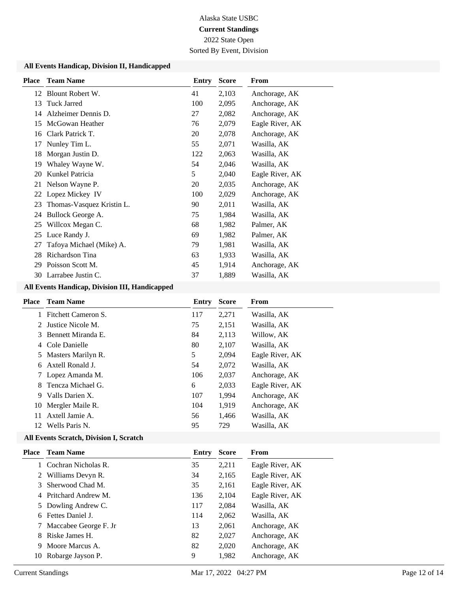# **Current Standings**

2022 State Open Sorted By Event, Division

#### **All Events Handicap, Division II, Handicapped**

| <b>Place</b> | <b>Team Name</b>          | Entry | <b>Score</b> | From            |
|--------------|---------------------------|-------|--------------|-----------------|
|              | 12 Blount Robert W.       | 41    | 2,103        | Anchorage, AK   |
| 13           | <b>Tuck Jarred</b>        | 100   | 2,095        | Anchorage, AK   |
| 14           | Alzheimer Dennis D.       | 27    | 2,082        | Anchorage, AK   |
| 15           | McGowan Heather           | 76    | 2,079        | Eagle River, AK |
| 16           | Clark Patrick T.          | 20    | 2,078        | Anchorage, AK   |
| 17           | Nunley Tim L.             | 55    | 2,071        | Wasilla, AK     |
| 18           | Morgan Justin D.          | 122   | 2,063        | Wasilla, AK     |
| 19           | Whaley Wayne W.           | 54    | 2,046        | Wasilla, AK     |
| 20           | Kunkel Patricia           | 5     | 2,040        | Eagle River, AK |
| 21           | Nelson Wayne P.           | 20    | 2,035        | Anchorage, AK   |
|              | 22 Lopez Mickey IV        | 100   | 2,029        | Anchorage, AK   |
| 23           | Thomas-Vasquez Kristin L. | 90    | 2,011        | Wasilla, AK     |
| 24           | Bullock George A.         | 75    | 1,984        | Wasilla, AK     |
| 25           | Willcox Megan C.          | 68    | 1,982        | Palmer, AK      |
| 25           | Luce Randy J.             | 69    | 1,982        | Palmer, AK      |
| 27           | Tafoya Michael (Mike) A.  | 79    | 1,981        | Wasilla, AK     |
| 28           | Richardson Tina           | 63    | 1,933        | Wasilla, AK     |
| 29           | Poisson Scott M.          | 45    | 1,914        | Anchorage, AK   |
| 30           | Larrabee Justin C.        | 37    | 1,889        | Wasilla, AK     |

### **All Events Handicap, Division III, Handicapped**

| <b>Place</b> | <b>Team Name</b>     | Entry | <b>Score</b> | From            |
|--------------|----------------------|-------|--------------|-----------------|
| 1.           | Fitchett Cameron S.  | 117   | 2,271        | Wasilla, AK     |
|              | 2 Justice Nicole M.  | 75    | 2,151        | Wasilla, AK     |
|              | 3 Bennett Miranda E. | 84    | 2,113        | Willow, AK      |
|              | 4 Cole Danielle      | 80    | 2,107        | Wasilla, AK     |
| 5            | Masters Marilyn R.   | 5     | 2,094        | Eagle River, AK |
| 6.           | Axtell Ronald J.     | 54    | 2,072        | Wasilla, AK     |
|              | 7 Lopez Amanda M.    | 106   | 2,037        | Anchorage, AK   |
| 8.           | Tencza Michael G.    | 6     | 2,033        | Eagle River, AK |
| 9            | Valls Darien X.      | 107   | 1,994        | Anchorage, AK   |
| 10           | Mergler Maile R.     | 104   | 1,919        | Anchorage, AK   |
| 11           | Axtell Jamie A.      | 56    | 1,466        | Wasilla, AK     |
| 12           | Wells Paris N.       | 95    | 729          | Wasilla, AK     |
|              |                      |       |              |                 |

#### **All Events Scratch, Division I, Scratch**

|                  | Entry                                                                                                                                                                                                                     | <b>Score</b> | From            |
|------------------|---------------------------------------------------------------------------------------------------------------------------------------------------------------------------------------------------------------------------|--------------|-----------------|
|                  | 35                                                                                                                                                                                                                        | 2,211        | Eagle River, AK |
|                  | 34                                                                                                                                                                                                                        | 2,165        | Eagle River, AK |
| Sherwood Chad M. | 35                                                                                                                                                                                                                        | 2,161        | Eagle River, AK |
|                  | 136                                                                                                                                                                                                                       | 2,104        | Eagle River, AK |
|                  | 117                                                                                                                                                                                                                       | 2,084        | Wasilla, AK     |
|                  | 114                                                                                                                                                                                                                       | 2,062        | Wasilla. AK     |
|                  | 13                                                                                                                                                                                                                        | 2,061        | Anchorage, AK   |
| Riske James H.   | 82                                                                                                                                                                                                                        | 2,027        | Anchorage, AK   |
|                  | 82                                                                                                                                                                                                                        | 2,020        | Anchorage, AK   |
|                  | 9                                                                                                                                                                                                                         | 1,982        | Anchorage, AK   |
| 8                | Place<br><b>Team Name</b><br>1 Cochran Nicholas R.<br>2 Williams Devyn R.<br>3<br>4 Pritchard Andrew M.<br>5 Dowling Andrew C.<br>6 Fettes Daniel J.<br>7 Maccabee George F. Jr<br>9 Moore Marcus A.<br>Robarge Jayson P. |              |                 |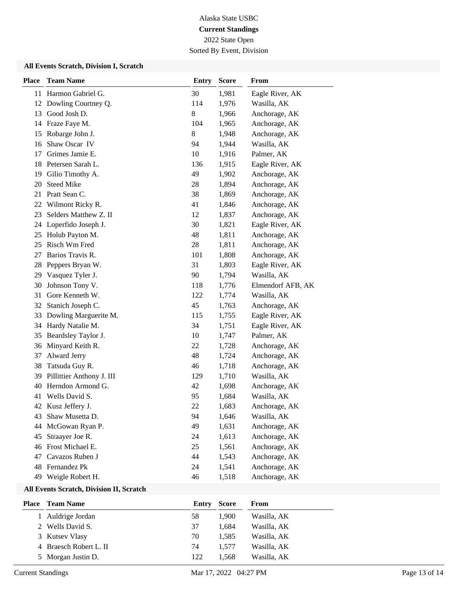# **Current Standings**

2022 State Open Sorted By Event, Division

#### **All Events Scratch, Division I, Scratch**

| <b>Place</b> | <b>Team Name</b>          | <b>Entry</b> | <b>Score</b> | From              |
|--------------|---------------------------|--------------|--------------|-------------------|
| 11           | Harmon Gabriel G.         | 30           | 1,981        | Eagle River, AK   |
| 12           | Dowling Courtney Q.       | 114          | 1,976        | Wasilla, AK       |
| 13           | Good Josh D.              | 8            | 1,966        | Anchorage, AK     |
| 14           | Fraze Faye M.             | 104          | 1,965        | Anchorage, AK     |
| 15           | Robarge John J.           | 8            | 1,948        | Anchorage, AK     |
| 16           | Shaw Oscar IV             | 94           | 1,944        | Wasilla, AK       |
| 17           | Grimes Jamie E.           | 10           | 1,916        | Palmer, AK        |
| 18           | Petersen Sarah L.         | 136          | 1,915        | Eagle River, AK   |
| 19           | Gilio Timothy A.          | 49           | 1,902        | Anchorage, AK     |
| 20           | <b>Steed Mike</b>         | 28           | 1,894        | Anchorage, AK     |
| 21           | Pratt Sean C.             | 38           | 1,869        | Anchorage, AK     |
| 22           | Wilmont Ricky R.          | 41           | 1,846        | Anchorage, AK     |
| 23           | Selders Matthew Z. II     | 12           | 1,837        | Anchorage, AK     |
| 24           | Loperfido Joseph J.       | 30           | 1,821        | Eagle River, AK   |
| 25           | Holub Payton M.           | 48           | 1,811        | Anchorage, AK     |
| 25           | Risch Wm Fred             | 28           | 1,811        | Anchorage, AK     |
| 27           | Barios Travis R.          | 101          | 1,808        | Anchorage, AK     |
| 28           | Peppers Bryan W.          | 31           | 1,803        | Eagle River, AK   |
| 29           | Vasquez Tyler J.          | 90           | 1,794        | Wasilla, AK       |
| 30           | Johnson Tony V.           | 118          | 1,776        | Elmendorf AFB, AK |
| 31           | Gore Kenneth W.           | 122          | 1,774        | Wasilla, AK       |
| 32           | Stanich Joseph C.         | 45           | 1,763        | Anchorage, AK     |
| 33           | Dowling Marguerite M.     | 115          | 1,755        | Eagle River, AK   |
| 34           | Hardy Natalie M.          | 34           | 1,751        | Eagle River, AK   |
| 35           | Beardsley Taylor J.       | 10           | 1,747        | Palmer, AK        |
| 36           | Minyard Keith R.          | 22           | 1,728        | Anchorage, AK     |
| 37           | Alward Jerry              | 48           | 1,724        | Anchorage, AK     |
| 38           | Tatsuda Guy R.            | 46           | 1,718        | Anchorage, AK     |
| 39           | Pillittier Anthony J. III | 129          | 1,710        | Wasilla, AK       |
| 40           | Herndon Armond G.         | 42           | 1,698        | Anchorage, AK     |
| 41           | Wells David S.            | 95           | 1,684        | Wasilla, AK       |
|              | 42 Kusz Jeffery J.        | 22           | 1,683        | Anchorage, AK     |
| 43           | Shaw Musetta D.           | 94           | 1,646        | Wasilla, AK       |
| 44           | McGowan Ryan P.           | 49           | 1,631        | Anchorage, AK     |
| 45           | Straayer Joe R.           | 24           | 1,613        | Anchorage, AK     |
| 46           | Frost Michael E.          | 25           | 1,561        | Anchorage, AK     |
| 47           | Cavazos Ruben J           | 44           | 1,543        | Anchorage, AK     |
| 48           | Fernandez Pk              | 24           | 1,541        | Anchorage, AK     |
| 49           | Weigle Robert H.          | 46           | 1,518        | Anchorage, AK     |

# **All Events Scratch, Division II, Scratch**

| <b>Place</b> | <b>Team Name</b>       | Entry | <b>Score</b> | From        |
|--------------|------------------------|-------|--------------|-------------|
|              | 1 Auldrige Jordan      | 58    | 1.900        | Wasilla, AK |
|              | 2 Wells David S.       | 37    | 1.684        | Wasilla, AK |
|              | 3 Kutsey Vlasy         | 70    | 1.585        | Wasilla, AK |
|              | 4 Braesch Robert L. II | 74    | 1.577        | Wasilla, AK |
|              | 5 Morgan Justin D.     | 122   | 1.568        | Wasilla, AK |